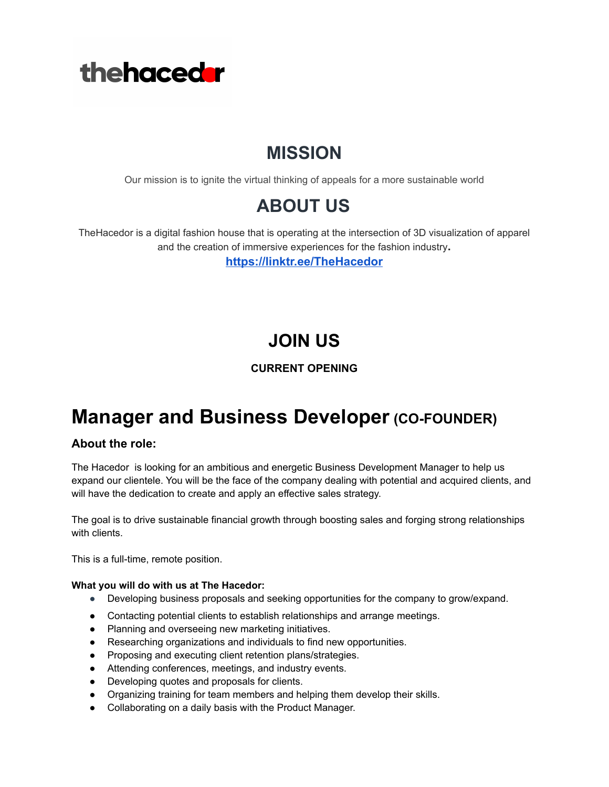

## **MISSION**

Our mission is to ignite the virtual thinking of appeals for a more sustainable world

### **ABOUT US**

TheHacedor is a digital fashion house that is operating at the intersection of 3D visualization of apparel and the creation of immersive experiences for the fashion industry**.**

**<https://linktr.ee/TheHacedor>**

# **JOIN US**

#### **CURRENT OPENING**

### **Manager and Business Developer(CO-FOUNDER)**

#### **About the role:**

The Hacedor is looking for an ambitious and energetic Business Development Manager to help us expand our clientele. You will be the face of the company dealing with potential and acquired clients, and will have the dedication to create and apply an effective sales strategy.

The goal is to drive sustainable financial growth through boosting sales and forging strong relationships with clients.

This is a full-time, remote position.

#### **What you will do with us at The Hacedor:**

- Developing business proposals and seeking opportunities for the company to grow/expand.
- Contacting potential clients to establish relationships and arrange meetings.
- Planning and overseeing new marketing initiatives.
- Researching organizations and individuals to find new opportunities.
- Proposing and executing client retention plans/strategies.
- Attending conferences, meetings, and industry events.
- Developing quotes and proposals for clients.
- Organizing training for team members and helping them develop their skills.
- Collaborating on a daily basis with the Product Manager.